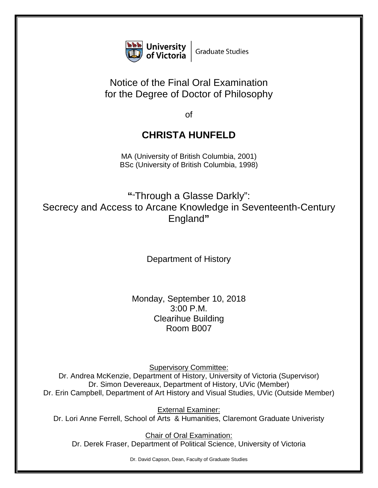

## Notice of the Final Oral Examination for the Degree of Doctor of Philosophy

of

## **CHRISTA HUNFELD**

MA (University of British Columbia, 2001) BSc (University of British Columbia, 1998)

**"**"Through a Glasse Darkly": Secrecy and Access to Arcane Knowledge in Seventeenth-Century England**"**

Department of History

Monday, September 10, 2018 3:00 P.M. Clearihue Building Room B007

Supervisory Committee:

Dr. Andrea McKenzie, Department of History, University of Victoria (Supervisor) Dr. Simon Devereaux, Department of History, UVic (Member) Dr. Erin Campbell, Department of Art History and Visual Studies, UVic (Outside Member)

External Examiner: Dr. Lori Anne Ferrell, School of Arts & Humanities, Claremont Graduate Univeristy

Chair of Oral Examination: Dr. Derek Fraser, Department of Political Science, University of Victoria

Dr. David Capson, Dean, Faculty of Graduate Studies